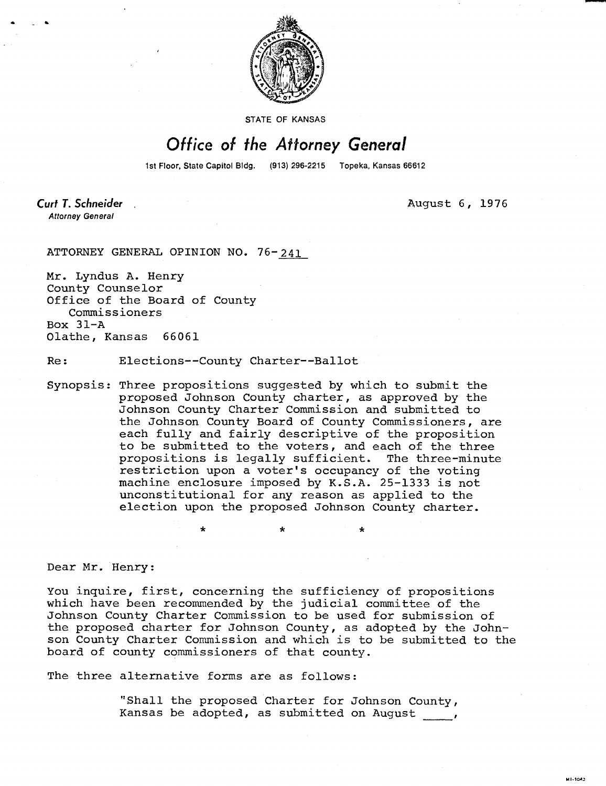

STATE OF KANSAS

## Office of the Attorney General

1st Floor, State Capitol Bldg. (913) 296-2215 Topeka, Kansas 66612

August 6, 1976

MI-1042

Curt T. Schneider **Attorney General** 

ATTORNEY GENERAL OPINION NO. 76-241

Mr. Lyndus A. Henry County Counselor Office of the Board of County Commissioners Box 31-A Olathe, Kansas 66061

Re: Elections--County Charter--Ballot

Synopsis: Three propositions suggested by which to submit the proposed Johnson County charter, as approved by the Johnson County Charter Commission and submitted to the Johnson County Board of County Commissioners, are each fully and fairly descriptive of the proposition to be submitted to the voters, and each of the three propositions is legally sufficient. The three-minute restriction upon a voter's occupancy of the voting machine enclosure imposed by K.S.A. 25-1333 is not unconstitutional for any reason as applied to the election upon the proposed Johnson County charter.

Dear Mr. Henry:

You inquire, first, concerning the sufficiency of propositions which have been recommended by the judicial committee of the Johnson County Charter Commission to be used for submission of the proposed charter for Johnson County, as adopted by the Johnson County Charter Commission and which is to be submitted to the board of county commissioners of that county.

The three alternative forms are as follows:

\*

"Shall the proposed Charter for Johnson County, Kansas be adopted, as submitted on August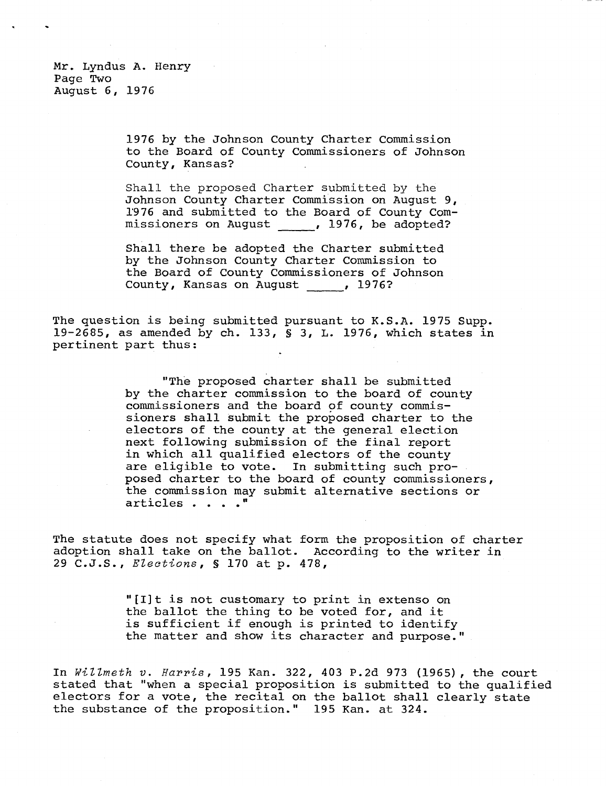Mr. Lyndus A. Henry Page Two August 6, 1976

> 1976 by the Johnson County Charter Commission to the Board of County Commissioners of Johnson County, Kansas?

Shall the proposed Charter submitted by the Johnson County Charter Commission on August 9, 1976 and submitted to the Board of County Commissioners on August (a), 1976, be adopted?

Shall there be adopted the Charter submitted by the Johnson County Charter Commission to the Board of County Commissioners of Johnson County, Kansas on August , 1976?

The question is being submitted pursuant to K.S.A. 1975 Supp. 19-2685, as amended by ch. 133, § 3, L. 1976, which states in pertinent part thus:

> "The proposed charter shall be submitted by the charter commission to the board of county commissioners and the board of county commissioners shall submit the proposed charter to the electors of the county at the general election next following submission of the final report in which all qualified electors of the county are eligible to vote. In submitting such proposed charter to the board of county commissioners, the commission may submit alternative sections or articles . . . ."

The statute does not specify what form the proposition of charter adoption shall take on the ballot. According to the writer in 29 C.J.S., Elections, § 170 at p. 478,

> "[lit is not customary to print in extenso on the ballot the thing to be voted for, and it is sufficient if enough is printed to identify the matter and show its character and purpose."

In Willmeth v. Harris, 195 Kan. 322, 403 P.2d 973 (1965), the court stated that "when a special proposition is submitted to the qualified electors for a vote, the recital on the ballot shall clearly state the substance of the proposition." 195 Kan. at 324.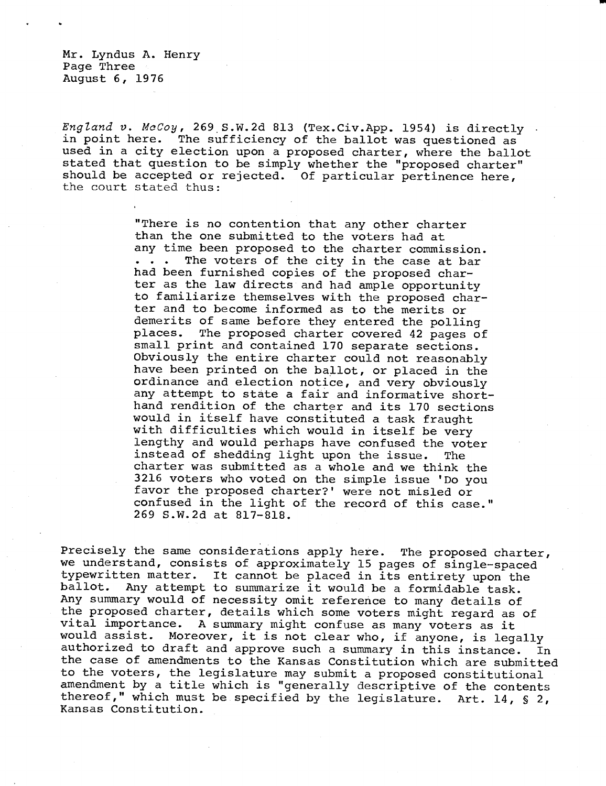Mr. Lyndus A. Henry Page Three August 6, 1976

England v. McCoy, 269 S.W.2d 813 (Tex.Civ.App. 1954) is directly in point here. The sufficiency of the ballot was questioned as used in a city election upon a proposed charter, where the ballot stated that question to be simply whether the "proposed charter" should be accepted or rejected. Of particular pertinence here, the court stated thus:

> "There is no contention that any other charter than the one submitted to the voters had at any time been proposed to the charter commission. . . . The voters of the city in the case at bar had been furnished copies of the proposed charter as the law directs and had ample opportunity to familiarize themselves with the proposed charter and to become informed as to the merits or demerits of same before they entered the polling places. The proposed charter covered 42 pages of small print and contained 170 separate sections. Obviously the entire charter could not reasonably have been printed on the ballot, or placed in the ordinance and election notice, and very obviously any attempt to state a fair and informative shorthand rendition of the charter and its 170 sections would in itself have constituted a task fraught with difficulties which would in itself be very lengthy and would perhaps have confused the voter instead of shedding light upon the issue. The charter was submitted as a whole and we think the 3216 voters who voted on the simple issue 'Do you favor the proposed charter?' were not misled or confused in the light of the record of this case." 269 S.W.2d at 817-818.

Precisely the same considerations apply here. The proposed charter, we understand, consists of approximately 15 pages of single-spaced typewritten matter. It cannot be placed in its entirety upon the ballot. Any attempt to summarize it would be a formidable task. Any summary would of necessity omit reference to many details of the proposed charter, details which some voters might regard as of vital importance. A summary might confuse as many voters as it<br>would assist. Moreover, it is not clear who, if anyone, is leg Moreover, it is not clear who, if anyone, is legally authorized to draft and approve such a summary in this instance. In the case of amendments to the Kansas Constitution which are submitted to the voters, the legislature may submit a proposed constitutional amendment by a title which is "generally descriptive of the contents thereof," which must be specified by the legislature. Art. 14, § 2, Kansas Constitution.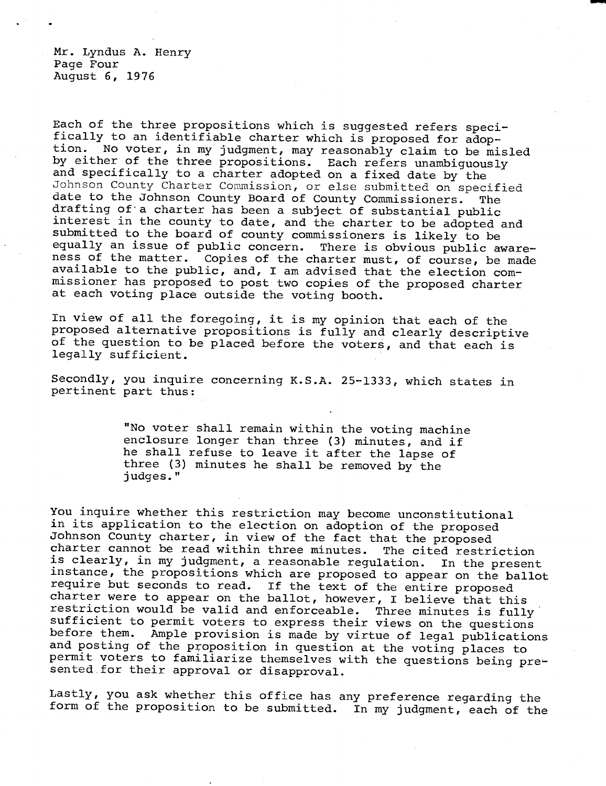Mr. Lyndus A. Henry Page Four August 6, 1976

Each of the three propositions which is suggested refers specifically to an identifiable charter which is proposed for adop-<br>tion. No voter, in my iudgment, may reasonably claim to be mi No voter, in my judgment, may reasonably claim to be misled by either of the three propositions. Each refers unambiguously and specifically to a charter adopted on a fixed date by the Johnson County Charter Commission, or else submitted on specified date to the Johnson County Board of County Commissioners. The drafting of a charter has been a subject of substantial public interest in the county to date, and the charter to be adopted and submitted to the board of county commissioners is likely to be equally an issue of public concern. There is obvious public awareness of the matter. Copies of the charter must, of course, be made available to the public, and, I am advised that the election commissioner has proposed to post two copies of the proposed charter at each voting place outside the voting booth.

In view of all the foregoing, it is my opinion that each of the proposed alternative propositions is fully and clearly descriptive of the question to be placed before the voters, and that each is legally sufficient.

Secondly, you inquire concerning K.S.A. 25-1333, which states in pertinent part thus:

> "No voter shall remain within the voting machine enclosure longer than three (3) minutes, and if he shall refuse to leave it after the lapse of three (3) minutes he shall be removed by the judges."

You inquire whether this restriction may become unconstitutional in its application to the election on adoption of the proposed Johnson County charter, in view of the fact that the proposed charter cannot be read within three minutes. The cited restriction is clearly, in my judgment, a reasonable regulation. In the present instance, the propositions which are proposed to appear on the ballot require but seconds to read. If the text of the entire proposed charter were to appear on the ballot, however, I believe that this restriction would be valid and enforceable. Three minutes is fully sufficient to permit voters to express their views on the questions before them. Ample provision is made by virtue of legal publications and posting of the proposition in question at the voting places to permit voters to familiarize themselves with the questions being presented for their approval or disapproval.

Lastly, you ask whether this office has any preference regarding the form of the proposition to be submitted. In my judgment, each of the